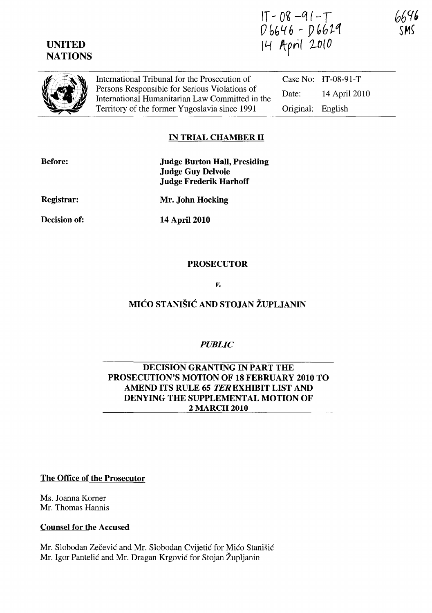# UNITED **NATIONS**

 $IT - 08 - 91 - T$  $0.646 - 0.629$ IL-f *Itpri( 1-0* ( *0* 



International Tribunal for the Prosecution of Persons Responsible for Serious Violations of International Humanitarian Law Committed in the Territory of the former Yugoslavia since 1991

Case No: IT-08-91-T Date: 14 April 2010 Original: English

## IN TRIAL CHAMBER II

| <b>Before:</b> | <b>Judge Burton Hall, Presiding</b><br><b>Judge Guy Delvoie</b><br><b>Judge Frederik Harhoff</b> |
|----------------|--------------------------------------------------------------------------------------------------|
| Registrar:     | Mr. John Hocking                                                                                 |
| Decision of:   | 14 April 2010                                                                                    |

#### PROSECUTOR

*v.* 

# MICO STANISIC AND STOJAN ZUPLJANIN

## *PUBLIC*

## DECISION GRANTING IN PART THE PROSECUTION'S MOTION OF 18 FEBRUARY 2010 TO AMEND ITS RULE 65 *TER* EXHIBIT LIST AND DENYING THE SUPPLEMENTAL MOTION OF 2 MARCH 2010

#### The Office of the Prosecutor

Ms. Joanna Korner Mr. Thomas Hannis

#### Counsel for the Accused

Mr. Slobodan Zečević and Mr. Slobodan Cvijetić for Mićo Stanišić Mr. Igor Pantelić and Mr. Dragan Krgović for Stojan Župljanin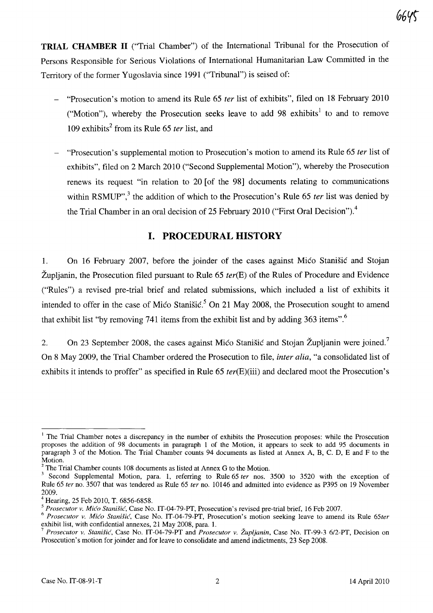**TRIAL CHAMBER 11** ("Trial Chamber") of the International Tribunal for the Prosecution of Persons Responsible for Serious Violations of International Humanitarian Law Committed in the Territory of the former Yugoslavia since 1991 ("Tribunal") is seised of:

- "Prosecution's motion to amend its Rule 65 *ter* list of exhibits", filed on 18 February 2010 ("Motion"), whereby the Prosecution seeks leave to add 98 exhibits<sup>1</sup> to and to remove 109 exhibits<sup>2</sup> from its Rule 65 *ter* list, and
- "Prosecution's supplemental motion to Prosecution's motion to amend its Rule 65 *ter* list of exhibits", filed on 2 March 2010 ("Second Supplemental Motion"), whereby the Prosecution renews its request "in relation to 20 [of the 98] documents relating to communications within RSMUP",<sup>3</sup> the addition of which to the Prosecution's Rule 65 *ter* list was denied by the Trial Chamber in an oral decision of 25 February 2010 ("First Oral Decision").<sup>4</sup>

# **I. PROCEDURAL HISTORY**

1. On 16 February 2007, before the joinder of the cases against Mico Stanisic and Stojan Zupljanin, the Prosecution filed pursuant to Rule 65 *terCE)* of the Rules of Procedure and Evidence ("Rules") a revised pre-trial brief and related submissions, which included a list of exhibits it intended to offer in the case of Mico Stanisic.<sup>5</sup> On 21 May 2008, the Prosecution sought to amend that exhibit list "by removing 741 items from the exhibit list and by adding 363 items".<sup>6</sup>

2. On 23 September 2008, the cases against Mico Stanišic and Stojan Župljanin were joined.<sup>7</sup> On 8 May 2009, the Trial Chamber ordered the Prosecution to file, *inter alia,* "a consolidated list of exhibits it intends to proffer" as specified in Rule 65 *ter(E)(iii)* and declared moot the Prosecution's

<sup>&</sup>lt;sup>1</sup> The Trial Chamber notes a discrepancy in the number of exhibits the Prosecution proposes: while the Prosecution proposes the addition of 98 documents in paragraph 1 of the Motion, it appears to seek to add 95 documents in paragraph 3 of the Motion. The Trial Chamber counts 94 documents as listed at Annex A, B, C. D, E and F to the Motion.

 $2$  The Trial Chamber counts 108 documents as listed at Annex G to the Motion.

<sup>3</sup> Second Supplemental Motion, para. 1, referring to Rule 65 *ter* nos. 3500 to 3520 with the exception of Rule 65 *ter* no. 3507 that was tendered as Rule 65 *fer* no. 10146 and admitted into evidence as P395 on 19 November 2009.

 $4$  Hearing, 25 Feb 2010, T. 6856-6858.

*<sup>5</sup> Prosecutor v. Mico Stanisic,* Case No. 1T-04-79-PT, Prosecution's revised pre-trial brief, 16 Feb 2007.

<sup>6</sup>*Prosecutor v. Mi(fo Stanisic,* Case No. IT-04-79-PT, Prosecution's motion seeking leave to amend its Rule *65ter*  exhibit list, with confidential annexes, 21 May 2008, para. l.

*<sup>7</sup> Prosecutor v. Stanisic,* Case No. 1T-04-79-PT and *Prosecutor v. Zupljanin,* Case No. IT-99-3 6/2-PT, Decision on Prosecution's motion for joinder and for leave to consolidate and amend indictments, 23 Sep 2008.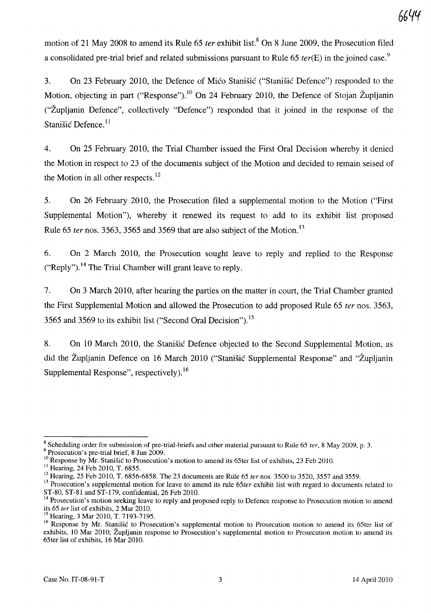motion of 21 May 2008 to amend its Rule 65 *ter* exhibit list.<sup>8</sup> On 8 June 2009, the Prosecution filed a consolidated pre-trial brief and related submissions pursuant to Rule 65  $ter(E)$  in the joined case.<sup>9</sup>

3. On 23 February 2010, the Defence of Mico Stanisic ("Stanisic Defence") responded to the Motion, objecting in part ("Response").<sup>10</sup> On 24 February 2010, the Defence of Stojan Župljanin ("Zupljanin Defence", collectively "Defence") responded that it joined in the response of the Stanišić Defence.<sup>11</sup>

4. On 25 February 2010, the Trial Chamber issued the First Oral Decision whereby it denied the Motion in respect to 23 of the documents subject of the Motion and decided to remain seised of the Motion in all other respects. $12$ 

5. On 26 February 2010, the Prosecution filed a supplemental motion to the Motion ("First Supplemental Motion"), whereby it renewed its request to add to its exhibit list proposed Rule 65 *ter* nos. 3563, 3565 and 3569 that are also subject of the Motion. 13

6. On 2 March 2010, the Prosecution sought leave to reply and replied to the Response ("Reply").<sup>14</sup> The Trial Chamber will grant leave to reply.

7. On 3 March 2010, after hearing the parties on the matter in court, the Trial Chamber granted the First Supplemental Motion and allowed the Prosecution to add proposed Rule 65 *ter* nos. 3563, 3565 and 3569 to its exhibit list ("Second Oral Decision"). 15

8. On 10 March 2010, the Stanisic Defence objected to the Second Supplemental Motion, as did the Zupljanin Defence on 16 March 2010 ("Stanisic Supplemental Response" and "Zupljanin Supplemental Response", respectively).<sup>16</sup>

 $8$  Scheduling order for submission of pre-trial-briefs and other material pursuant to Rule 65 *ter*, 8 May 2009, p. 3.

<sup>&</sup>lt;sup>9</sup> Prosecution's pre-trial brief, 8 Jun 2009.

 $10$  Response by Mr. Stanišić to Prosecution's motion to amend its 65ter list of exhibits, 23 Feb 2010.

<sup>&</sup>lt;sup>11</sup> Hearing, 24 Feb 2010, T. 6855.

 $12$  Hearing, 25 Feb 2010, T. 6856-6858. The 23 documents are Rule 65 ter nos. 3500 to 3520, 3557 and 3559.

<sup>&</sup>lt;sup>13</sup> Prosecution's supplemental motion for leave to amend its rule 65ter exhibit list with regard to documents related to ST-80, ST-81 and  $\hat{\text{ST}}$ -179, confidential, 26 Feb 2010.

<sup>&</sup>lt;sup>14</sup> Prosecution's motion seeking leave to reply and proposed reply to Defence response to Prosecution motion to amend its 65 ter list of exhibits, 2 Mar 2010.

Hearing, 3 Mar 2010, T. 7193-7195.

<sup>&</sup>lt;sup>16</sup> Response by Mr. Stanišić to Prosecution's supplemental motion to Prosecution motion to amend its 65ter list of exhibits, 10 Mar 2010; Župljanin response to Prosecution's supplemental motion to Prosecution motion to amend its 65ter list of exhibits, 16 Mar 2010.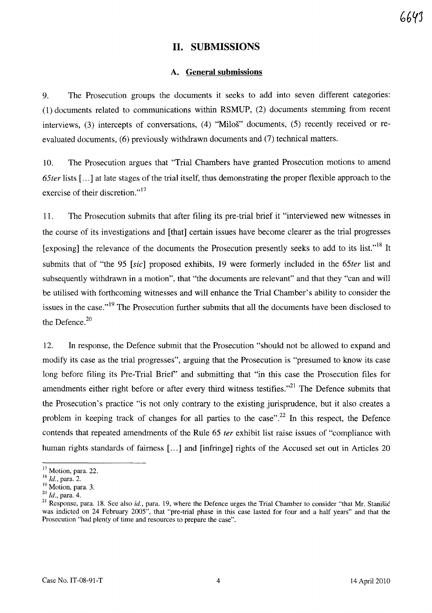## **11. SUBMISSIONS**

#### **A. General submissions**

9. The Prosecution groups the documents it seeks to add into seven different categories: (1) documents related to communications within RSMUP, (2) documents stemming from recent interviews, (3) intercepts of conversations, (4) "Miloš" documents, (5) recently received or reevaluated documents, (6) previously withdrawn documents and (7) technical matters.

10. The Prosecution argues that "Trial Chambers have granted Prosecution motions to amend *65ter* lists [ ... ] at late stages of the trial itself, thus demonstrating the proper flexible approach to the exercise of their discretion."<sup>17</sup>

ll. The Prosecution submits that after filing its pre-trial brief it "interviewed new witnesses in the course of its investigations and [that] certain issues have become clearer as the trial progresses [exposing] the relevance of the documents the Prosecution presently seeks to add to its list."<sup>18</sup> It submits that of "the 95 *[sic]* proposed exhibits, 19 were formerly included in the *65ter* list and subsequently withdrawn in a motion", that "the documents are relevant" and that they "can and will be utilised with forthcoming witnesses and will enhance the Trial Chamber's ability to consider the issues in the case."<sup>19</sup> The Prosecution further submits that all the documents have been disclosed to the Defence. $20$ 

12. In response, the Defence submit that the Prosecution "should not be allowed to expand and modify its case as the trial progresses", arguing that the Prosecution is "presumed to know its case long before filing its Pre-Trial Brief' and submitting that "in this case the Prosecution files for amendments either right before or after every third witness testifies.<sup> $21$ </sup> The Defence submits that the Prosecution's practice "is not only contrary to the existing jurisprudence, but it also creates a problem in keeping track of changes for all parties to the case".<sup>22</sup> In this respect, the Defence contends that repeated amendments of the Rule 65 *ter* exhibit list raise issues of "compliance with human rights standards of fairness [...] and [infringe] rights of the Accused set out in Articles 20

<sup>&</sup>lt;sup>17</sup> Motion, para. 22.

<sup>18</sup>*Id.,* para. 2.

 $19$  Motion, para. 3.

*<sup>20</sup> Id.,* para. 4.

 $21$  Response, para. 18. See also id., para. 19, where the Defence urges the Trial Chamber to consider "that Mr. Stanistic was indicted on 24 February 2005", that "pre-trial phase in this case lasted for four and a half years" and that the Prosecution "had plenty of time and resources to prepare the case".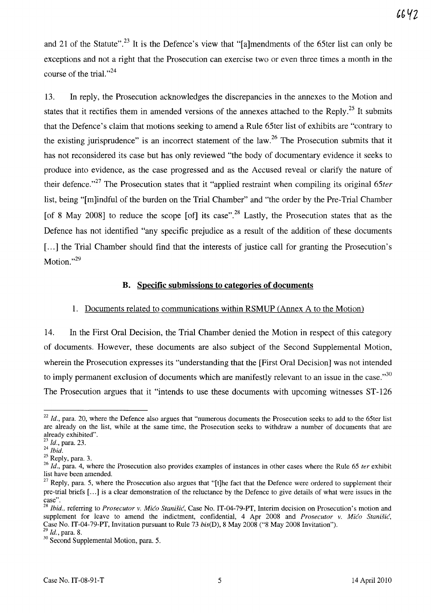and 21 of the Statute".<sup>23</sup> It is the Defence's view that "[a]mendments of the 65ter list can only be exceptions and not a right that the Prosecution can exercise two or even three times a month in the course of the trial. $^{324}$ 

13. In reply, the Prosecution acknowledges the discrepancies in the annexes to the Motion and states that it rectifies them in amended versions of the annexes attached to the Reply.<sup>25</sup> It submits that the Defence's claim that motions seeking to amend a Rule 65ter list of exhibits are "contrary to the existing jurisprudence" is an incorrect statement of the law.<sup>26</sup> The Prosecution submits that it has not reconsidered its case but has only reviewed "the body of documentary evidence it seeks to produce into evidence, as the case progressed and as the Accused reveal or clarify the nature of their defence.<sup>727</sup> The Prosecution states that it "applied restraint when compiling its original 65ter list, being "[m ]indful of the burden on the Trial Chamber" and "the order by the Pre-Trial Chamber [of 8 May 2008] to reduce the scope [of] its case".<sup>28</sup> Lastly, the Prosecution states that as the Defence has not identified "any specific prejudice as a result of the addition of these documents [...] the Trial Chamber should find that the interests of justice call for granting the Prosecution's Motion." $^{29}$ 

#### **B. Specific submissions to categories of documents**

### 1. Documents related to communications within RSMUP (Annex A to the Motion)

14. In the First Oral Decision, the Trial Chamber denied the Motion in respect of this category of documents. However, these documents are also subject of the Second Supplemental Motion, wherein the Prosecution expresses its "understanding that the [First Oral Decision] was not intended to imply permanent exclusion of documents which are manifestly relevant to an issue in the case.<sup>30</sup> The Prosecution argues that it "intends to use these documents with upcoming witnesses ST-126

<sup>&</sup>lt;sup>22</sup> Id., para. 20, where the Defence also argues that "numerous documents the Prosecution seeks to add to the 65ter list are already on the list, while at the same time, the Prosecution seeks to withdraw a number of documents that are already exhibited".

<sup>23</sup>*Id.,* para. 23.

*<sup>24</sup> Ibid.* 

 $25$  Reply, para. 3.

<sup>&</sup>lt;sup>26</sup> Id., para. 4, where the Prosecution also provides examples of instances in other cases where the Rule 65 *ter* exhibit list have been amended.

 $27$  Reply, para. 5, where the Prosecution also argues that "[t]he fact that the Defence were ordered to supplement their pre-trial briefs [ ... ] is a clear demonstration of the reluctance by the Defence to give details of what were issues in the case".

<sup>28</sup>*Ibid.,* referring to *Prosecutor* v. *Mico Stanisic,* Case No. IT-04-79-PT, Interim decision on Prosecution's motion and supplement for leave to amend the indictment, confidential, 4 Apr 2008 and *Prosecutor v. Mićo Stanišić*, Case No. IT-04-79-PT, Invitation pursuant to Rule 73 *bis(D),* 8 May 2008 ("8 May 2008 Invitation"). <sup>29</sup>*Id.,* para. 8.

<sup>&</sup>lt;sup>30</sup> Second Supplemental Motion, para. 5.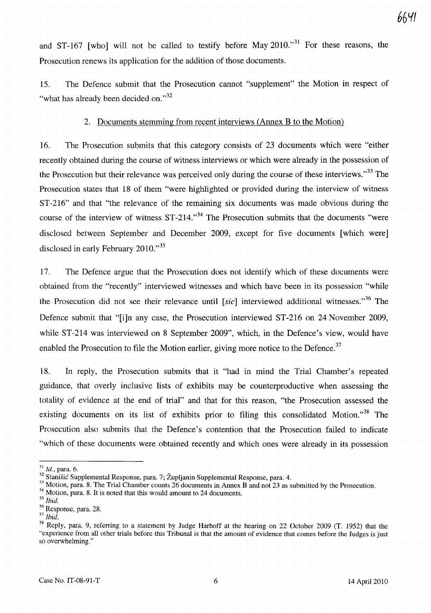and ST-167 [who] will not be called to testify before May  $2010.^{31}$  For these reasons, the Prosecution renews its application for the addition of those documents.

15. The Defence submit that the Prosecution cannot "supplement" the Motion in respect of "what has already been decided on."<sup>32</sup>

### 2. Documents stemming from recent interviews (Annex B to the Motion)

16. The Prosecution submits that this category consists of 23 documents which were "either recently obtained during the course of witness interviews or which were already in the possession of the Prosecution but their relevance was perceived only during the course of these interviews."<sup>33</sup> The Prosecution states that 18 of them "were highlighted or provided during the interview of witness ST-216" and that "the relevance of the remaining six documents was made obvious during the course of the interview of witness ST-214.<sup>34</sup> The Prosecution submits that the documents "were disclosed between September and December 2009, except for five documents [which were] disclosed in early February  $2010.^{35}$ 

17. The Defence argue that the Prosecution does not identify which of these documents were obtained from the "recently" interviewed witnesses and which have been in its possession "while the Prosecution did not see their relevance until [sic] interviewed additional witnesses.<sup>36</sup> The Defence submit that "[i]n any case, the Prosecution interviewed ST-216 on 24 November 2009, while ST-214 was interviewed on 8 September 2009", which, in the Defence's view, would have enabled the Prosecution to file the Motion earlier, giving more notice to the Defence.<sup>37</sup>

18. In reply, the Prosecution submits that it "had in mind the Trial Chamber's repeated guidance, that overly inclusive lists of exhibits may be counterproductive when assessing the totality of evidence at the end of trial" and that for this reason, "the Prosecution assessed the existing documents on its list of exhibits prior to filing this consolidated Motion.<sup>38</sup> The Prosecution also submits that the Defence's contention that the Prosecution failed to indicate "which of these documents were obtained recently and which ones were already in its possession

<sup>31</sup>*Id.,* para. 6.

<sup>&</sup>lt;sup>32</sup> Stanišić Supplemental Response, para. 7; Župljanin Supplemental Response, para. 4.

<sup>&</sup>lt;sup>33</sup> Motion, para. 8. The Trial Chamber counts 26 documents in Annex B and not 23 as submitted by the Prosecution.

<sup>&</sup>lt;sup>34</sup> Motion, para. 8. It is noted that this would amount to 24 documents.

*<sup>35</sup> Ibid.* 

<sup>36</sup> Response, para. 28.

*<sup>37</sup> Ibid.* 

<sup>&</sup>lt;sup>38</sup> Reply, para. 9, referring to a statement by Judge Harhoff at the hearing on 22 October 2009 (T. 1952) that the "experience from all other trials before this Tribunal is that the amount of evidence that comes before the Judges is just so overwhelming."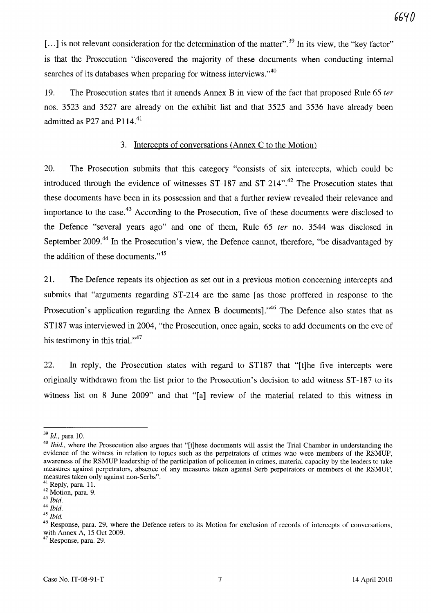[...] is not relevant consideration for the determination of the matter".<sup>39</sup> In its view, the "key factor" is that the Prosecution "discovered the majority of these documents when conducting internal searches of its databases when preparing for witness interviews. $140$ 

19. The Prosecution states that it amends Annex B in view of the fact that proposed Rule 65 *ter*  nos. 3523 and 3527 are already on the exhibit list and that 3525 and 3536 have already been admitted as P27 and P114. $41$ 

### 3. Intercepts of conversations (Annex C to the Motion)

20. The Prosecution submits that this category "consists of six intercepts, which could be introduced through the evidence of witnesses  $ST-187$  and  $ST-214$ ".<sup>42</sup> The Prosecution states that these documents have been in its possession and that a further review revealed their relevance and importance to the case.<sup>43</sup> According to the Prosecution, five of these documents were disclosed to the Defence "several years ago" and one of them, Rule 65 *ter* no. 3544 was disclosed in September 2009.<sup>44</sup> In the Prosecution's view, the Defence cannot, therefore, "be disadvantaged by the addition of these documents."<sup>45</sup>

21. The Defence repeats its objection as set out in a previous motion concerning intercepts and submits that "arguments regarding ST-214 are the same [as those proffered in response to the Prosecution's application regarding the Annex B documents]. $1^{46}$  The Defence also states that as ST187 was interviewed in 2004, "the Prosecution, once again, seeks to add documents on the eve of his testimony in this trial." $47$ 

22. **In** reply, the Prosecution states with regard to ST187 that "[t]he five intercepts were originally withdrawn from the list prior to the Prosecution's decision to add witness ST -187 to its witness list on 8 June 2009" and that "[a] review of the material related to this witness in

 $<sup>7</sup>$  Response, para. 29.</sup>

6640

*<sup>39</sup> Id.,* para 10.

*<sup>40</sup> Ibid.,* where the Prosecution also argues that "[t]hese documents will assist the Trial Chamber in understanding the evidence of the witness in relation to topics such as the perpetrators of crimes who were members of the RSMUP, awareness of the RSMUP leadership of the participation of policemen in crimes, material capacity by the leaders to take measures against perpetrators, absence of any measures taken against Serb perpetrators or members of the RSMUP, measures taken only against non-Serbs".

 $^{1}$  Reply, para. 11.

<sup>42</sup> Motion, para. 9.

*<sup>43</sup> Ibid.* 

*<sup>44</sup> Ibid.* 

<sup>45</sup>*Ibid.* 

<sup>&</sup>lt;sup>46</sup> Response, para. 29, where the Defence refers to its Motion for exclusion of records of intercepts of conversations, with Annex A, 15 Oct 2009.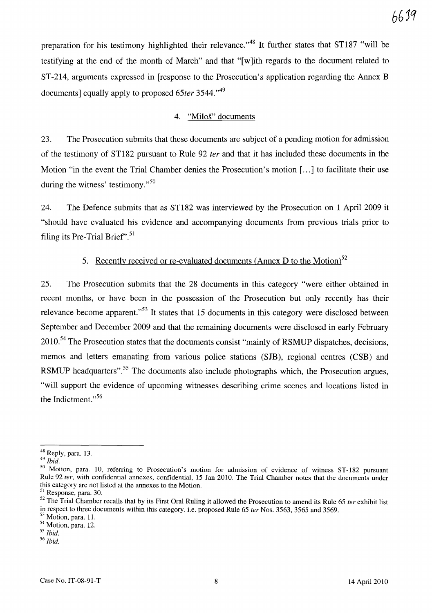preparation for his testimony highlighted their relevance.<sup>48</sup> It further states that ST187 "will be testifying at the end of the month of March" and that "[ w ]ith regards to the document related to ST-214, arguments expressed in [response to the Prosecution's application regarding the Annex B documents] equally apply to proposed 65ter 3544.<sup>149</sup>

#### 4. "Milos" documents

23. The Prosecution submits that these documents are subject of a pending motion for admission of the testimony of ST182 pursuant to Rule 92 *ter* and that it has included these documents in the Motion "in the event the Trial Chamber denies the Prosecution's motion [...] to facilitate their use during the witness' testimony. $^{550}$ 

24. The Defence submits that as ST182 was interviewed by the Prosecution on 1 April 2009 it "should have evaluated his evidence and accompanying documents from previous trials prior to filing its Pre-Trial Brief". $51$ 

### 5. Recently received or re-evaluated documents (Annex D to the Motion)<sup>52</sup>

25. The Prosecution submits that the 28 documents in this category "were either obtained in recent months, or have been in the possession of the Prosecution but only recently has their relevance become apparent. $153$  It states that 15 documents in this category were disclosed between September and December 2009 and that the remaining documents were disclosed in early February 2010.<sup>54</sup> The Prosecution states that the documents consist "mainly of RSMUP dispatches, decisions, memos and letters emanating from various police stations (SJB), regional centres (CSB) and RSMUP headquarters".<sup>55</sup> The documents also include photographs which, the Prosecution argues, "will support the evidence of upcoming witnesses describing crime scenes and locations listed in the Indictment."<sup>56</sup>

<sup>48</sup> Reply, para. 13.

<sup>49</sup>*Ibid.* 

<sup>50</sup> Motion, para. 10, referring to Prosecution's motion for admission of evidence of witness ST-182 pursuant Rule 92 fer, with confidential annexes, confidential, 15 Jan 2010. The Trial Chamber notes that the documents under this category are not listed at the annexes to the Motion.

S) Response, para. 30.

 $52$  The Trial Chamber recalls that by its First Oral Ruling it allowed the Prosecution to amend its Rule 65 ter exhibit list in respect to three documents within this category. i.e. proposed Rule 65 ter Nos. 3563, 3565 and 3569.

<sup>&</sup>lt;sup>53</sup> Motion, para. 11.

S4 Motion, para. 12.

<sup>55</sup>*Ibid.* 

<sup>56</sup>*Ibid.*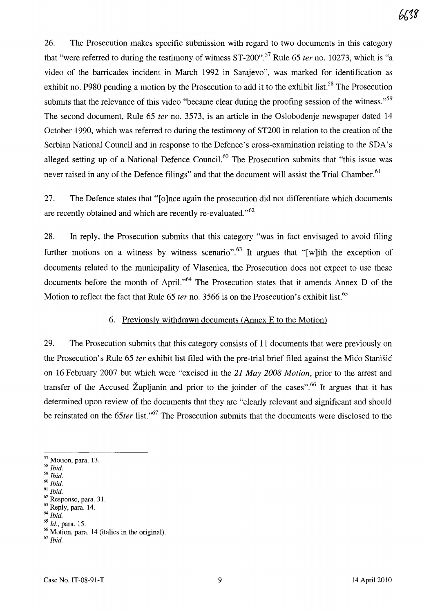26. The Prosecution makes specific submission with regard to two documents in this category that "were referred to during the testimony of witness ST-200".57 Rule 65 *ter* no. 10273, which is "a video of the barricades incident in March 1992 in Sarajevo", was marked for identification as exhibit no. P980 pending a motion by the Prosecution to add it to the exhibit list.<sup>58</sup> The Prosecution submits that the relevance of this video "became clear during the proofing session of the witness."<sup>59</sup> The second document, Rule 65 *ter* no. 3573, is an article in the Oslobodenje newspaper dated 14 October 1990, which was referred to during the testimony of ST200 in relation to the creation of the Serbian National Council and in response to the Defence's cross-examination relating to the SDA's alleged setting up of a National Defence Council.<sup>60</sup> The Prosecution submits that "this issue was never raised in any of the Defence filings" and that the document will assist the Trial Chamber.<sup>61</sup>

27. The Defence states that "[0 ]nce again the prosecution did not differentiate which documents are recently obtained and which are recently re-evaluated."<sup>62</sup>

28. In reply, the Prosecution submits that this category "was in fact envisaged to avoid filing further motions on a witness by witness scenario".<sup>63</sup> It argues that "[w]ith the exception of documents related to the municipality of Vlasenica, the Prosecution does not expect to use these documents before the month of April."<sup>64</sup> The Prosecution states that it amends Annex D of the Motion to reflect the fact that Rule 65 *ter* no. 3566 is on the Prosecution's exhibit list.<sup>65</sup>

## 6. Previously withdrawn documents (Annex E to the Motion)

29. The Prosecution submits that this category consists of 11 documents that were previously on the Prosecution's Rule 65 *ter* exhibit list filed with the pre-trial brief filed against the Mico Stanisic on 16 February 2007 but which were "excised in the 21 *May 2008 Motion,* prior to the arrest and transfer of the Accused Župljanin and prior to the joinder of the cases".<sup>66</sup> It argues that it has determined upon review of the documents that they are "clearly relevant and significant and should be reinstated on the 65*ter* list.<sup>,67</sup> The Prosecution submits that the documents were disclosed to the

<sup>57</sup> Motion, para. 13.

*<sup>58</sup> Ibid.* 

<sup>59</sup>*Ibid.* 

<sup>60</sup>*Ibid.* 

<sup>61</sup>*Ibid.* 

<sup>62</sup> Response, para. 31.  $63$  Reply, para. 14.

<sup>64</sup>*Ibid.* 

*<sup>65</sup> Id.,* para. 15.

<sup>66</sup> Motion, para. 14 (italics in the original).

*<sup>67</sup> Ibid.*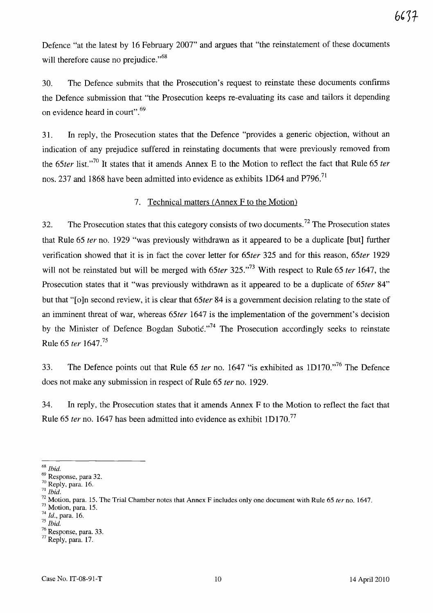Defence "at the latest by 16 February 2007" and argues that "the reinstatement of these documents will therefore cause no prejudice."<sup>68</sup>

30. The Defence submits that the Prosecution's request to reinstate these documents confirms the Defence submission that "the Prosecution keeps re-evaluating its case and tailors it depending on evidence heard in court". 69

31. In reply, the Prosecution states that the Defence "provides a generic objection, without an indication of any prejudice suffered in reinstating documents that were previously removed from the 65ter list.<sup>70</sup> It states that it amends Annex E to the Motion to reflect the fact that Rule 65 *ter* nos. 237 and 1868 have been admitted into evidence as exhibits 1D64 and P796.<sup>71</sup>

### 7. Technical matters (Annex F to the Motion)

32. The Prosecution states that this category consists of two documents.<sup>72</sup> The Prosecution states that Rule 65 *fer* no. 1929 "was previously withdrawn as it appeared to be a duplicate [but] further verification showed that it is in fact the cover letter for *65ter* 325 and for this reason, *65ter 1929*  will not be reinstated but will be merged with 65*ter* 325."<sup>73</sup> With respect to Rule 65 *ter* 1647, the Prosecution states that it "was previously withdrawn as it appeared to be a duplicate of *65ter 84"*  but that "[o]n second review, it is clear that *65ter* 84 is a government decision relating to the state of an imminent threat of war, whereas *65ter* 1647 is the implementation of the government's decision by the Minister of Defence Bogdan Subotic."<sup>74</sup> The Prosecution accordingly seeks to reinstate Rule 65 *ter 1647.<sup>75</sup>*

33. The Defence points out that Rule 65 *ter* no. 1647 "is exhibited as 1D170."<sup>76</sup> The Defence does not make any submission in respect of Rule 65 *ter* no. 1929.

34. In reply, the Prosecution states that it amends Annex F to the Motion to reflect the fact that Rule 65 *ter* no. 1647 has been admitted into evidence as exhibit 1D170.<sup>77</sup>

*<sup>68</sup> Ibid.* 

<sup>69</sup> Response, para 32.

<sup>70</sup> Reply, para. 16.

<sup>71</sup>*Ibid.* 

<sup>72</sup> Motion, para. 15. The Trial Chamber notes that Annex F includes only one document with Rule 65 *ter* no. 1647.

<sup>73</sup> Motion, para. 15.

*<sup>74</sup>*Id., para. 16.

<sup>75</sup>*Ibid.* 

<sup>76</sup> Response, para. 33.

 $77$  Reply, para. 17.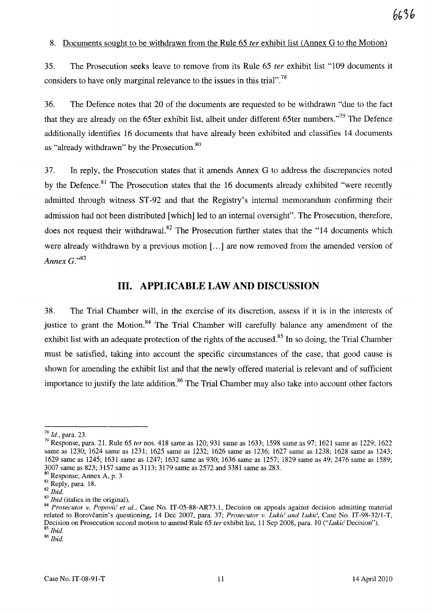#### 8. Documents sought to be withdrawn from the Rule 65 fer exhibit list (Annex G to the Motion)

35. The Prosecution seeks leave to remove from its Rule 65 ter exhibit list "109 documents it considers to have only marginal relevance to the issues in this trial".<sup>78</sup>

36. The Defence notes that 20 of the documents are requested to be withdrawn "due to the fact that they are already on the 65ter exhibit list, albeit under different 65ter numbers. $\frac{779}{10}$  The Defence additionally identifies 16 documents that have already been exhibited and classifies 14 documents as "already withdrawn" by the Prosecution.<sup>80</sup>

37. In reply, the Prosecution states that it amends Annex G to address the discrepancies noted by the Defence.<sup>81</sup> The Prosecution states that the 16 documents already exhibited "were recently admitted through witness ST-92 and that the Registry's internal memorandum confirming their admission had not been distributed [which] led to an internal oversight". The Prosecution, therefore, does not request their withdrawal.<sup>82</sup> The Prosecution further states that the "14 documents which were already withdrawn by a previous motion [...] are now removed from the amended version of *Annex G.*<sup>83</sup>

# **Ill. APPLICABLE LAW AND DISCUSSION**

38. The Trial Chamber will, in the exercise of its discretion, assess if it is in the interests of justice to grant the Motion.<sup>84</sup> The Trial Chamber will carefully balance any amendment of the exhibit list with an adequate protection of the rights of the accused.<sup>85</sup> In so doing, the Trial Chamber must be satisfied, taking into account the specific circumstances of the case, that good cause is shown for amending the exhibit list and that the newly offered material is relevant and of sufficient importance to justify the late addition.<sup>86</sup> The Trial Chamber may also take into account other factors

<sup>86</sup>*Ibid.* 

<sup>78</sup>*Id.,* para. 23.

<sup>79</sup> Response, para. 21. Rule 65 *ter* nos. 418 same as 120; 931 same as 1633; 1598 same as 97; 1621 same as 1229; 1622 same as 1230; 1624 same as 1231; 1625 same as 1232; 1626 same as 1236; 1627 same as 1238; 1628 same as 1243; 1629 same as 1245; 1631 same as 1247; 1632 same as 930; 1636 same as 1257; 1829 same as 49; 2476 same as 1589; 3007 same as 823; 3157 same as 3113; 3179 same as 2572 and 3381 same as 283. 80 <sup>R</sup>esponse, Annex A, p. 3

<sup>81</sup> Reply, para. 18.

*<sup>82</sup> Ibid.* 

<sup>83</sup>*Ibid* (italics in the original).

<sup>84</sup> Prosecutor v. Popović et al., Case No. IT-05-88-AR73.1, Decision on appeals against decision admitting material related to Borovcanin's questioning, 14 Dec 2007, para. 37; *Prosecutor v. Lukic and Lukic,* Case No. *IT-98-32/1-T,*  Decision on Prosecution second motion to amend Rule 65 *ter* exhibit list, 11 Sep 2008, para. 10 *("Lukic* Decision"). 85 *Ibid.*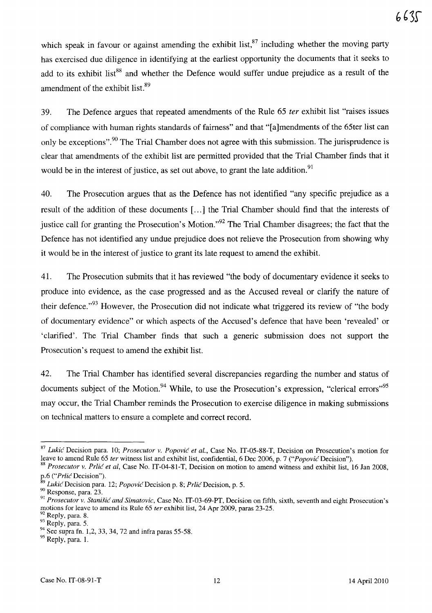which speak in favour or against amending the exhibit list,  $87$  including whether the moving party has exercised due diligence in identifying at the earliest opportunity the documents that it seeks to add to its exhibit list<sup>88</sup> and whether the Defence would suffer undue prejudice as a result of the amendment of the exhibit list.<sup>89</sup>

39. The Defence argues that repeated amendments of the Rule 65 *ter* exhibit list "raises issues of compliance with human rights standards of fairness" and that "[a]mendments of the 65ter list can only be exceptions".<sup>90</sup> The Trial Chamber does not agree with this submission. The jurisprudence is clear that amendments of the exhibit list are permitted provided that the Trial Chamber finds that it would be in the interest of justice, as set out above, to grant the late addition.<sup>91</sup>

40. The Prosecution argues that as the Defence has not identified "any specific prejudice as a result of the addition of these documents [ ... ] the Trial Chamber should find that the interests of justice call for granting the Prosecution's Motion.<sup>92</sup> The Trial Chamber disagrees; the fact that the Defence has not identified any undue prejudice does not relieve the Prosecution from showing why it would be in the interest of justice to grant its late request to amend the exhibit.

41. The Prosecution submits that it has reviewed "the body of documentary evidence it seeks to produce into evidence, as the case progressed and as the Accused reveal or clarify the nature of their defence."<sup>93</sup> However, the Prosecution did not indicate what triggered its review of "the body" of documentary evidence" or which aspects of the Accused's defence that have been 'revealed' or 'clarified'. The Trial Chamber finds that such a generic submission does not support the Prosecution's request to amend the exhibit list.

42. The Trial Chamber has identified several discrepancies regarding the number and status of documents subject of the Motion.<sup>94</sup> While, to use the Prosecution's expression, "clerical errors",  $95$ may occur, the Trial Chamber reminds the Prosecution to exercise diligence in making submissions on technical matters to ensure a complete and correct record.

<sup>87</sup>*Lukic* Decision para. 10; *Prosecutor* v. *Popovic et aI.,* Case No. IT-05-88-T, Decision on Prosecution's motion for leave to amend Rule 65 *ter* witness list and exhibit list, confidential, 6 Dec 2006, p. 7 *("Popovic* Decision").

<sup>88</sup>*Prosecutor* v. *Prlic et aI,* Case No. IT-04-81-T, Decision on motion to amend witness and exhibit list, 16 Jan 2008, p.6 *("Prlic* Decision").

<sup>&</sup>lt;sup>9</sup> Lukić Decision para. 12; *Popović* Decision p. 8; *Prlić* Decision, p. 5.

<sup>90</sup> Response, para. 23.

<sup>&</sup>lt;sup>91</sup> Prosecutor v. Stanišić and Simatovic, Case No. IT-03-69-PT, Decision on fifth, sixth, seventh and eight Prosecution's motions for leave to amend its Rule 65 *ter* exhibit list, 24 Apr 2009, paras 23-25.<br><sup>92</sup> Reply, para. 8.

<sup>&</sup>lt;sup>93</sup> Reply, para. 5.

<sup>&</sup>lt;sup>94</sup> See supra fn. 1,2, 33, 34, 72 and infra paras 55-58.

 $95$  Reply, para. 1.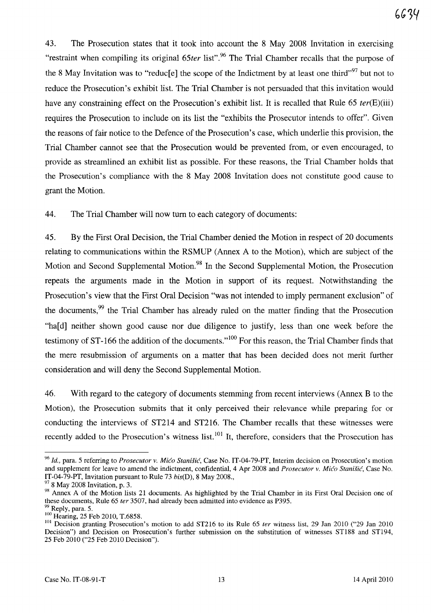43. The Prosecution states that it took into account the 8 May 2008 Invitation in exercising "restraint when compiling its original 65ter list".<sup>96</sup> The Trial Chamber recalls that the purpose of the 8 May Invitation was to "reduc[e] the scope of the Indictment by at least one third"<sup>97</sup> but not to reduce the Prosecution's exhibit list. The Trial Chamber is not persuaded that this invitation would have any constraining effect on the Prosecution's exhibit list. It is recalled that Rule 65 ter(E)(iii) requires the Prosecution to include on its list the "exhibits the Prosecutor intends to offer". Given the reasons of fair notice to the Defence of the Prosecution's case, which underlie this provision, the Trial Chamber cannot see that the Prosecution would be prevented from, or even encouraged, to provide as streamlined an exhibit list as possible. For these reasons, the Trial Chamber holds that the Prosecution's compliance with the 8 May 2008 Invitation does not constitute good cause to grant the Motion.

44. The Trial Chamber will now turn to each category of documents:

45. By the First Oral Decision, the Trial Chamber denied the Motion in respect of 20 documents relating to communications within the RSMUP (Annex A to the Motion), which are subject of the Motion and Second Supplemental Motion.<sup>98</sup> In the Second Supplemental Motion, the Prosecution repeats the arguments made in the Motion in support of its request. Notwithstanding the Prosecution's view that the First Oral Decision "was not intended to imply permanent exclusion" of the documents,<sup>99</sup> the Trial Chamber has already ruled on the matter finding that the Prosecution "ha[d] neither shown good cause nor due diligence to justify, less than one week before the testimony of  $ST-166$  the addition of the documents."<sup>100</sup> For this reason, the Trial Chamber finds that the mere resubmission of arguments on a matter that has been decided does not merit further consideration and will deny the Second Supplemental Motion.

46. With regard to the category of documents stemming from recent interviews (Annex B to the Motion), the Prosecution submits that it only perceived their relevance while preparing for or conducting the interviews of ST214 and ST216. The Chamber recalls that these witnesses were recently added to the Prosecution's witness list.  $101$  It, therefore, considers that the Prosecution has

*<sup>96</sup> Id.,* para. 5 referring to *Prosecutor* v. *Mica Stanisic,* Case No. IT-04-79-PT, Interim decision on Prosecution's motion and supplement for leave to amend the indictment, confidential, 4 Apr 2008 and *Prosecutor v. Mico Stanišić*, Case No. IT-04-79-PT, Invitation pursuant to Rule 73 *bis(D),* 8 May 2008., 97 8 May 2008 Invitation, p. 3.

<sup>98</sup> Annex A of the Motion lists 21 documents. As highlighted by the Trial Chamber in its First Oral Decision one of these documents, Rule 65 *ter* 3507, had already been admitted into evidence as P395.

 $\mu$  Reply, para. 5. <sup>100</sup> Hearing, 25 Feb 2010, T.6858.

<sup>&</sup>lt;sup>101</sup> Decision granting Prosecution's motion to add ST216 to its Rule 65 *ter* witness list, 29 Jan 2010 ("29 Jan 2010 Decision") and Decision on Prosecution's further submission on the substitution of witnesses ST188 and ST194, 25 Feb 2010 ("25 Feb 2010 Decision").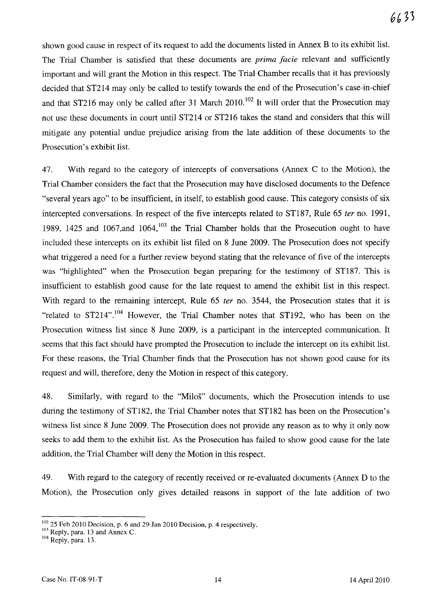shown good cause in respect of its request to add the documents listed in Annex B to its exhibit list. The Trial Chamber is satisfied that these documents are *prima facie* relevant and sufficiently important and will grant the Motion in this respect. The Trial Chamber recalls that it has previously decided that ST214 may only be called to testify towards the end of the Prosecution's case-in-chief and that ST216 may only be called after 31 March 2010.<sup>102</sup> It will order that the Prosecution may not use these documents in court until ST214 or ST216 takes the stand and considers that this will mitigate any potential undue prejudice arising from the late addition of these documents to the Prosecution's exhibit list.

47. With regard to the category of intercepts of conversations (Annex C to the Motion), the Trial Chamber considers the fact that the Prosecution may have disclosed documents to the Defence "several years ago" to be insufficient, in itself, to establish good cause. This category consists of six intercepted conversations. In respect of the five intercepts related to ST187, Rule 65 *ter* no. 1991, 1989, 1425 and 1067, and 1064,  $103$  the Trial Chamber holds that the Prosecution ought to have included these intercepts on its exhibit list filed on 8 June 2009. The Prosecution does not specify what triggered a need for a further review beyond stating that the relevance of five of the intercepts was "highlighted" when the Prosecution began preparing for the testimony of ST187. This is insufficient to establish good cause for the late request to amend the exhibit list in this respect. With regard to the remaining intercept, Rule 65 *ter* no. 3544, the Prosecution states that it is "related to  $ST214"$ .<sup>104</sup> However, the Trial Chamber notes that  $ST192$ , who has been on the Prosecution witness list since 8 June 2009, is a participant in the intercepted communication. It seems that this fact should have prompted the Prosecution to include the intercept on its exhibit list. For these reasons, the Trial Chamber finds that the Prosecution has not shown good cause for its request and will, therefore, deny the Motion in respect of this category.

48. Similarly, with regard to the "Milos" documents, which the Prosecution intends to use during the testimony of ST182, the Trial Chamber notes that ST182 has been on the Prosecution's witness list since 8 June 2009. The Prosecution does not provide any reason as to why it only now seeks to add them to the exhibit list. As the Prosecution has failed to show good cause for the late addition, the Trial Chamber will deny the Motion in this respect.

49. With regard to the category of recently received or re-evaluated documents (Annex D to the Motion), the Prosecution only gives detailed reasons in support of the late addition of two

<sup>&</sup>lt;sup>102</sup> 25 Feb 2010 Decision, p. 6 and 29 Jan 2010 Decision, p. 4 respectively.

 $103$  Reply, para. 13 and Annex C.

<sup>&</sup>lt;sup>104</sup> Reply, para. 13.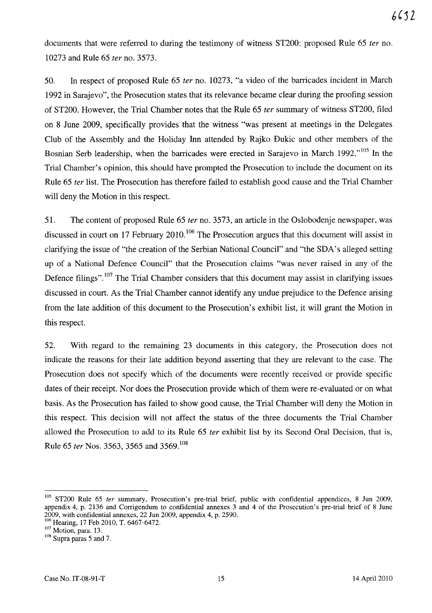documents that were referred to during the testimony of witness ST200: proposed Rule 65 ter no. 10273 and Rule 65 fer no. 3573.

50. In respect of proposed Rule 65 ter no. 10273, "a video of the barricades incident in March 1992 in Sarajevo", the Prosecution states that its relevance became clear during the proofing session of ST200. However, the Trial Chamber notes that the Rule 65 ter summary of witness ST200, filed on 8 June 2009, specifically provides that the witness "was present at meetings in the Delegates Club of the Assembly and the Holiday Inn attended by Rajko Dukic and other members of the Bosnian Serb leadership, when the barricades were erected in Sarajevo in March 1992."<sup>105</sup> In the Trial Chamber's opinion, this should have prompted the Prosecution to include the document on its Rule 65 ter list. The Prosecution has therefore failed to establish good cause and the Trial Chamber will deny the Motion in this respect.

51. The content of proposed Rule 65 ter no. 3573, an article in the Oslobodenje newspaper, was discussed in court on 17 February 2010.<sup>106</sup> The Prosecution argues that this document will assist in clarifying the issue of "the creation of the Serbian National Council" and "the SDA's alleged setting up of a National Defence Council" that the Prosecution claims "was never raised in any of the Defence filings".<sup>107</sup> The Trial Chamber considers that this document may assist in clarifying issues discussed in court. As the Trial Chamber cannot identify any undue prejudice to the Defence arising from the late addition of this document to the Prosecution's exhibit list, it will grant the Motion in this respect.

52. With regard to the remaining 23 documents in this category, the Prosecution does not indicate the reasons for their late addition beyond asserting that they are relevant to the case. The Prosecution does not specify which of the documents were recently received or provide specific dates of their receipt. Nor does the Prosecution provide which of them were re-evaluated or on what basis. As the Prosecution has failed to show good cause, the Trial Chamber will deny the Motion in this respect. This decision will not affect the status of the three documents the Trial Chamber allowed the Prosecution to add to its Rule 65 fer exhibit list by its Second Oral Decision, that is, Rule 65 *ter* Nos. 3563, 3565 and 3569.<sup>108</sup>

<sup>&</sup>lt;sup>105</sup> ST200 Rule 65 ter summary, Prosecution's pre-trial brief, public with confidential appendices, 8 Jun 2009, appendix 4, p. 2136 and Corrigendum to confidential annexes 3 and 4 of the Prosecution's pre-trial brief of 8 June 2009, with confidential annexes, 22 Jun 2009, appendix 4, p. 2590.

<sup>106</sup> Hearing, 17 Feb 2010, T. 6467-6472.

<sup>107</sup> Motion, para. 13.

<sup>&</sup>lt;sup>108</sup> Supra paras 5 and 7.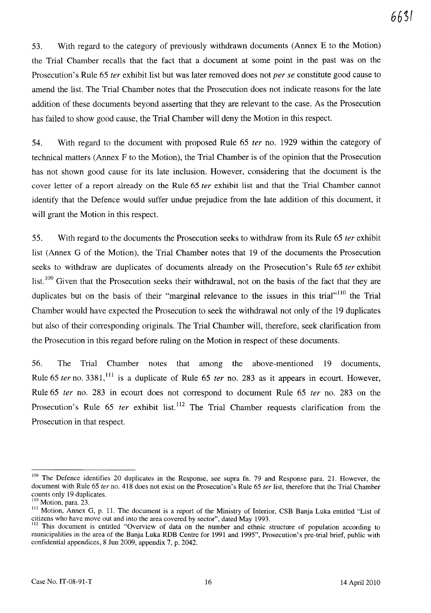53. With regard to the category of previously withdrawn documents (Annex E to the Motion) the Trial Chamber recalls that the fact that a document at some point in the past was on the Prosecution's Rule 65 *ter* exhibit list but was later removed does not *per se* constitute good cause to amend the list. The Trial Chamber notes that the Prosecution does not indicate reasons for the late addition of these documents beyond asserting that they are relevant to the case. As the Prosecution has failed to show good cause, the Trial Chamber will deny the Motion in this respect.

54. With regard to the document with proposed Rule 65 *ter* no. 1929 within the category of technical matters (Annex F to the Motion), the Trial Chamber is of the opinion that the Prosecution has not shown good cause for its late inclusion. However, considering that the document is the cover letter of a report already on the Rule 65 *ter* exhibit list and that the Trial Chamber cannot identify that the Defence would suffer undue prejudice from the late addition of this document, it will grant the Motion in this respect.

55. With regard to the documents the Prosecution seeks to withdraw from its Rule 65 *ter* exhibit list (Annex G of the Motion), the Trial Chamber notes that 19 of the documents the Prosecution seeks to withdraw are duplicates of documents already on the Prosecution's Rule 65 *ter* exhibit list.<sup>109</sup> Given that the Prosecution seeks their withdrawal, not on the basis of the fact that they are duplicates but on the basis of their "marginal relevance to the issues in this trial"<sup>110</sup> the Trial Chamber would have expected the Prosecution to seek the withdrawal not only of the 19 duplicates but also of their corresponding originals. The Trial Chamber will, therefore, seek clarification from the Prosecution in this regard before ruling on the Motion in respect of these documents.

56. The Trial Chamber notes that among the above-mentioned 19 documents, Rule 65 *ter* no. 3381,<sup>111</sup> is a duplicate of Rule 65 *ter* no. 283 as it appears in ecourt. However, Rule 65 *ter* no. 283 in ecourt does not correspond to document Rule 65 *ter* no. 283 on the Prosecution's Rule 65 *ter* exhibit list.<sup>112</sup> The Trial Chamber requests clarification from the Prosecution in that respect.

<sup>&</sup>lt;sup>109</sup> The Defence identifies 20 duplicates in the Response, see supra fn. 79 and Response para. 21. However, the document with Rule 65 *ter* no. 418 does not exist on the Prosecution's Rule 65 *ter* list, therefore that the Trial Chamber counts only 19 duplicates.

 $110$  Motion, para. 23.

III Motion, Annex G, p. 1l. The document is a report of the Ministry of Interior, CSB Banja Luka entitled "List of citizens who have move out and into the area covered by sector", dated May 1993.

<sup>&</sup>lt;sup>112</sup> This document is entitled "Overview of data on the number and ethnic structure of population according to municipalities in the area of the Banja Luka RDB Centre for 1991 and 1995", Prosecution's pre-trial brief, public with confidential appendices, 8 lun 2009, appendix 7, p. 2042.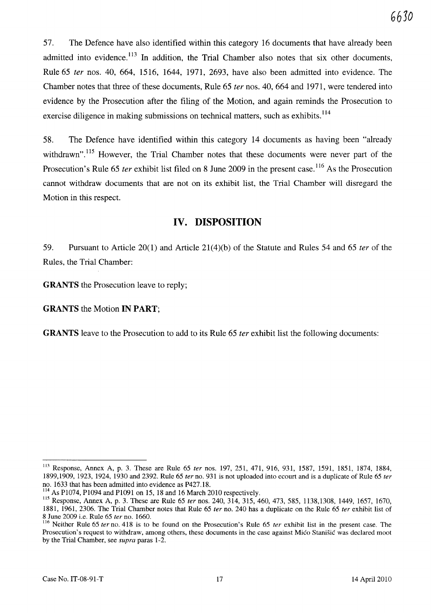57. The Defence have also identified within this category 16 documents that have already been admitted into evidence.<sup>113</sup> In addition, the Trial Chamber also notes that six other documents, Rule 65 *ter* nos. 40, 664, 1516, 1644, 1971, 2693, have also been admitted into evidence. The Chamber notes that three of these documents, Rule 65 *ter* nos. 40, 664 and 1971, were tendered into evidence by the Prosecution after the filing of the Motion, and again reminds the Prosecution to exercise diligence in making submissions on technical matters, such as exhibits.<sup>114</sup>

58. The Defence have identified within this category 14 documents as having been "already withdrawn".<sup>115</sup> However, the Trial Chamber notes that these documents were never part of the Prosecution's Rule 65 *ter* exhibit list filed on 8 June 2009 in the present case.<sup>116</sup> As the Prosecution cannot withdraw documents that are not on its exhibit list, the Trial Chamber will disregard the Motion in this respect.

# **IV. DISPOSITION**

59. Pursuant to Article 20(1) and Article 21(4)(b) of the Statute and Rules 54 and 65 *ter* of the Rules, the Trial Chamber:

**GRANTS** the Prosecution leave to reply;

**GRANTS** the Motion **IN PART;** 

**GRANTS** leave to the Prosecution to add to its Rule 65 *ter* exhibit list the following documents:

<sup>113</sup> Response, Annex A, p. 3. These are Rule 65 *ter* nos. 197, 251, 471, 916, 931, 1587, 1591, 1851, 1874, 1884, 1899,1909, 1923, 1924, 1930 and 2392. Rule 65 *ter* no. 931 is not uploaded into ecourt and is a duplicate of Rule 65 *ter*  no. 1633 that has been admitted into evidence as P427.18.

<sup>114</sup> As P1074, P1094 and P1091 on 15, 18 and 16 March 2010 respectively.

<sup>115</sup> Response, Annex A, p. 3. These are Rule 65 *ter* nos. 240, 314, 315, 460, 473, 585, 1138,1308, 1449, 1657, 1670, 1881, 1961,2306. The Trial Chamber notes that Rule 65 *ter* no. 240 has a duplicate on the Rule 65 *ter* exhibit list of 8 June 2009 i.e. Rule 65 *ter* no. 1660.

<sup>116</sup> Neither Rule 65 *ter* no. 418 is to be found on the Prosecution's Rule 65 *ter* exhibit list in the present case. The Prosecution's request to withdraw, among others, these documents in the case against Mico Stanisic was declared moot by the Trial Chamber, see *supra* paras 1-2.